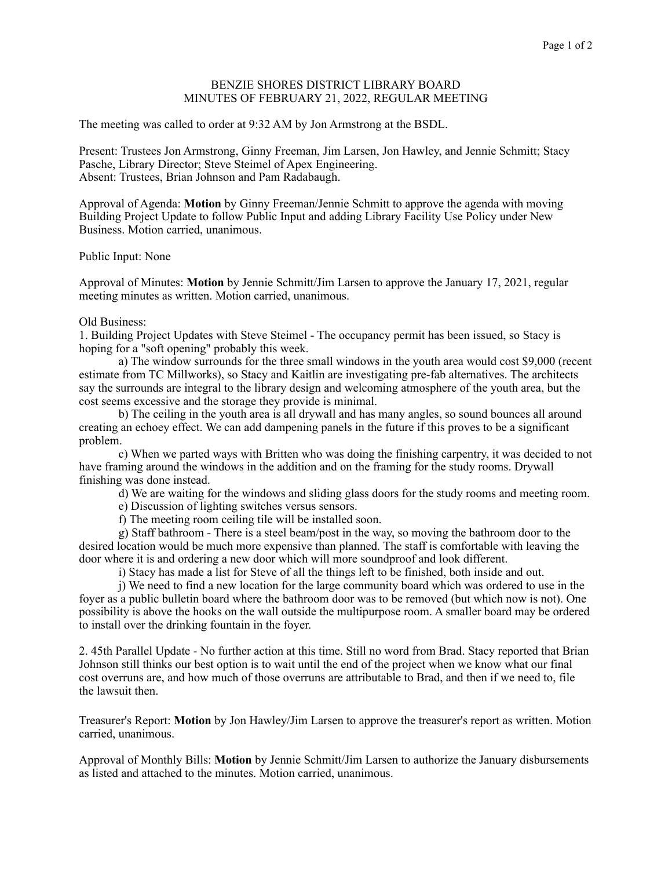## BENZIE SHORES DISTRICT LIBRARY BOARD MINUTES OF FEBRUARY 21, 2022, REGULAR MEETING

The meeting was called to order at 9:32 AM by Jon Armstrong at the BSDL.

Present: Trustees Jon Armstrong, Ginny Freeman, Jim Larsen, Jon Hawley, and Jennie Schmitt; Stacy Pasche, Library Director; Steve Steimel of Apex Engineering. Absent: Trustees, Brian Johnson and Pam Radabaugh.

Approval of Agenda: **Motion** by Ginny Freeman/Jennie Schmitt to approve the agenda with moving Building Project Update to follow Public Input and adding Library Facility Use Policy under New Business. Motion carried, unanimous.

Public Input: None

Approval of Minutes: **Motion** by Jennie Schmitt/Jim Larsen to approve the January 17, 2021, regular meeting minutes as written. Motion carried, unanimous.

## Old Business:

1. Building Project Updates with Steve Steimel - The occupancy permit has been issued, so Stacy is hoping for a "soft opening" probably this week.

 a) The window surrounds for the three small windows in the youth area would cost \$9,000 (recent estimate from TC Millworks), so Stacy and Kaitlin are investigating pre-fab alternatives. The architects say the surrounds are integral to the library design and welcoming atmosphere of the youth area, but the cost seems excessive and the storage they provide is minimal.

 b) The ceiling in the youth area is all drywall and has many angles, so sound bounces all around creating an echoey effect. We can add dampening panels in the future if this proves to be a significant problem.

 c) When we parted ways with Britten who was doing the finishing carpentry, it was decided to not have framing around the windows in the addition and on the framing for the study rooms. Drywall finishing was done instead.

d) We are waiting for the windows and sliding glass doors for the study rooms and meeting room.

e) Discussion of lighting switches versus sensors.

f) The meeting room ceiling tile will be installed soon.

 g) Staff bathroom - There is a steel beam/post in the way, so moving the bathroom door to the desired location would be much more expensive than planned. The staff is comfortable with leaving the door where it is and ordering a new door which will more soundproof and look different.

i) Stacy has made a list for Steve of all the things left to be finished, both inside and out.

 j) We need to find a new location for the large community board which was ordered to use in the foyer as a public bulletin board where the bathroom door was to be removed (but which now is not). One possibility is above the hooks on the wall outside the multipurpose room. A smaller board may be ordered to install over the drinking fountain in the foyer.

2. 45th Parallel Update - No further action at this time. Still no word from Brad. Stacy reported that Brian Johnson still thinks our best option is to wait until the end of the project when we know what our final cost overruns are, and how much of those overruns are attributable to Brad, and then if we need to, file the lawsuit then.

Treasurer's Report: **Motion** by Jon Hawley/Jim Larsen to approve the treasurer's report as written. Motion carried, unanimous.

Approval of Monthly Bills: **Motion** by Jennie Schmitt/Jim Larsen to authorize the January disbursements as listed and attached to the minutes. Motion carried, unanimous.